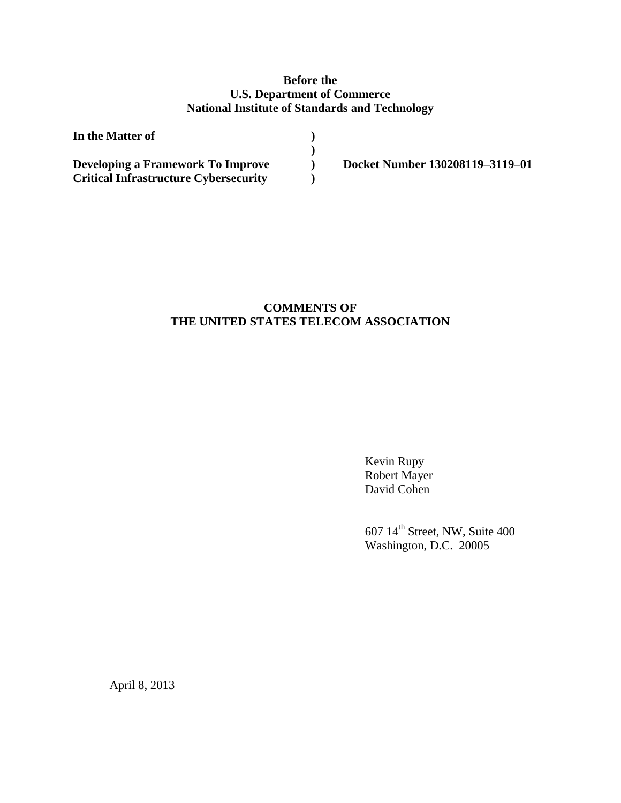# **Before the U.S. Department of Commerce National Institute of Standards and Technology**

| In the Matter of                             |                                 |
|----------------------------------------------|---------------------------------|
|                                              |                                 |
| Developing a Framework To Improve            | Docket Number 130208119-3119-01 |
| <b>Critical Infrastructure Cybersecurity</b> |                                 |

# **COMMENTS OF THE UNITED STATES TELECOM ASSOCIATION**

Kevin Rupy Robert Mayer David Cohen

607 14th Street, NW, Suite 400 Washington, D.C. 20005

April 8, 2013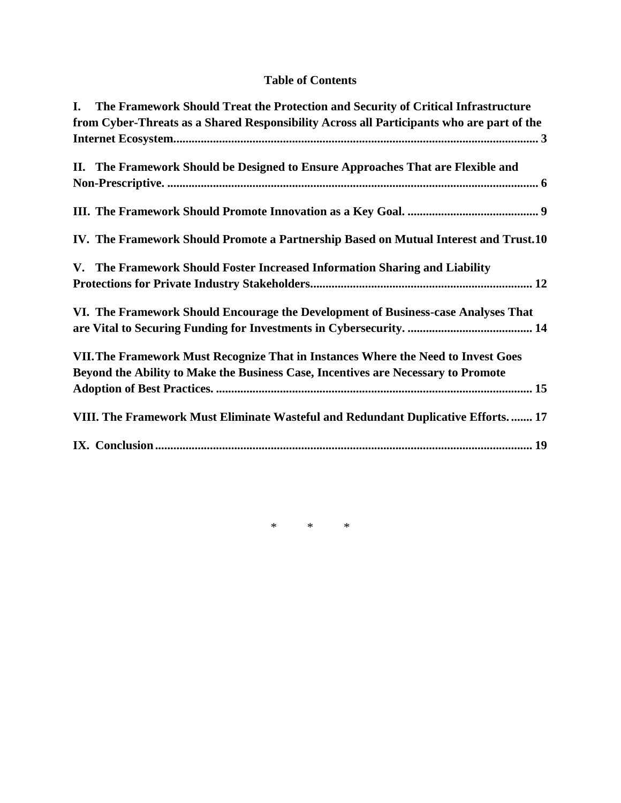# **Table of Contents**

| L. | The Framework Should Treat the Protection and Security of Critical Infrastructure         |
|----|-------------------------------------------------------------------------------------------|
|    | from Cyber-Threats as a Shared Responsibility Across all Participants who are part of the |
|    |                                                                                           |
|    | II. The Framework Should be Designed to Ensure Approaches That are Flexible and           |
|    |                                                                                           |
|    |                                                                                           |
|    | IV. The Framework Should Promote a Partnership Based on Mutual Interest and Trust.10      |
|    | V. The Framework Should Foster Increased Information Sharing and Liability                |
|    |                                                                                           |
|    | VI. The Framework Should Encourage the Development of Business-case Analyses That         |
|    |                                                                                           |
|    | VII. The Framework Must Recognize That in Instances Where the Need to Invest Goes         |
|    | Beyond the Ability to Make the Business Case, Incentives are Necessary to Promote         |
|    |                                                                                           |
|    | VIII. The Framework Must Eliminate Wasteful and Redundant Duplicative Efforts 17          |
|    |                                                                                           |

\* \* \*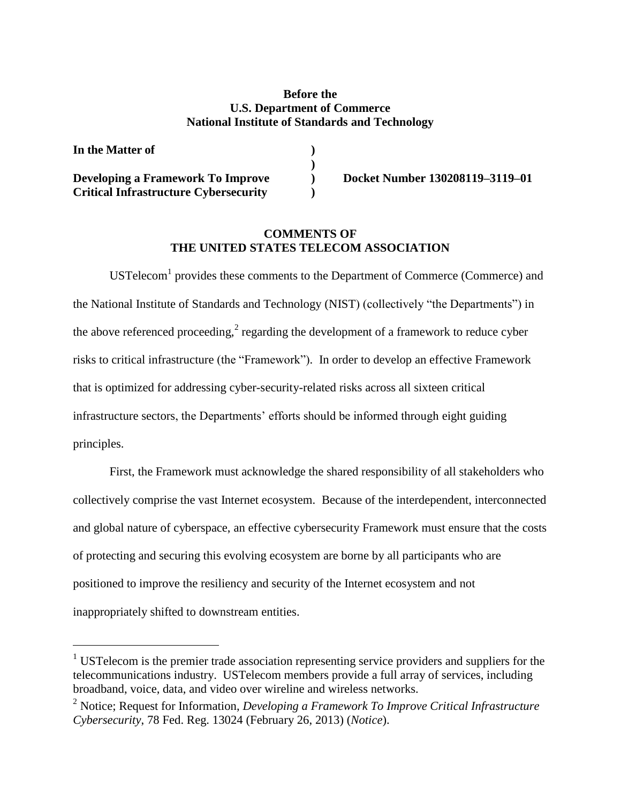### **Before the U.S. Department of Commerce National Institute of Standards and Technology**

**) ) ) )**

| In the Matter of                             |  |
|----------------------------------------------|--|
| Developing a Framework To Improve            |  |
| <b>Critical Infrastructure Cybersecurity</b> |  |

l

**Docket Number 130208119–3119–01**

# **COMMENTS OF THE UNITED STATES TELECOM ASSOCIATION**

USTelecom $<sup>1</sup>$  provides these comments to the Department of Commerce (Commerce) and</sup> the National Institute of Standards and Technology (NIST) (collectively "the Departments") in the above referenced proceeding,<sup>2</sup> regarding the development of a framework to reduce cyber risks to critical infrastructure (the "Framework"). In order to develop an effective Framework that is optimized for addressing cyber-security-related risks across all sixteen critical infrastructure sectors, the Departments' efforts should be informed through eight guiding principles.

First, the Framework must acknowledge the shared responsibility of all stakeholders who collectively comprise the vast Internet ecosystem. Because of the interdependent, interconnected and global nature of cyberspace, an effective cybersecurity Framework must ensure that the costs of protecting and securing this evolving ecosystem are borne by all participants who are positioned to improve the resiliency and security of the Internet ecosystem and not inappropriately shifted to downstream entities.

<sup>&</sup>lt;sup>1</sup> USTelecom is the premier trade association representing service providers and suppliers for the telecommunications industry. USTelecom members provide a full array of services, including broadband, voice, data, and video over wireline and wireless networks.

<sup>2</sup> Notice; Request for Information, *Developing a Framework To Improve Critical Infrastructure Cybersecurity*, 78 Fed. Reg. 13024 (February 26, 2013) (*Notice*).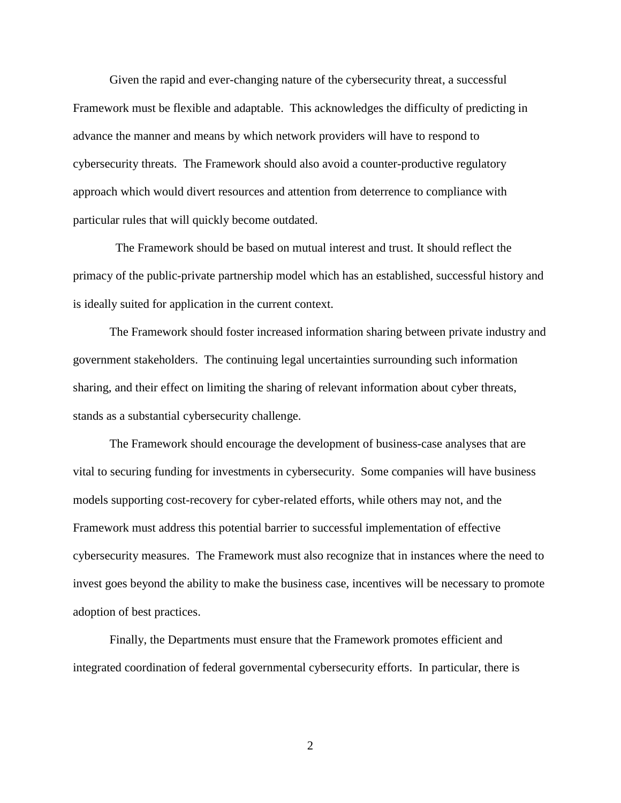Given the rapid and ever-changing nature of the cybersecurity threat, a successful Framework must be flexible and adaptable. This acknowledges the difficulty of predicting in advance the manner and means by which network providers will have to respond to cybersecurity threats. The Framework should also avoid a counter-productive regulatory approach which would divert resources and attention from deterrence to compliance with particular rules that will quickly become outdated.

 The Framework should be based on mutual interest and trust. It should reflect the primacy of the public-private partnership model which has an established, successful history and is ideally suited for application in the current context.

The Framework should foster increased information sharing between private industry and government stakeholders. The continuing legal uncertainties surrounding such information sharing, and their effect on limiting the sharing of relevant information about cyber threats, stands as a substantial cybersecurity challenge.

The Framework should encourage the development of business-case analyses that are vital to securing funding for investments in cybersecurity. Some companies will have business models supporting cost-recovery for cyber-related efforts, while others may not, and the Framework must address this potential barrier to successful implementation of effective cybersecurity measures. The Framework must also recognize that in instances where the need to invest goes beyond the ability to make the business case, incentives will be necessary to promote adoption of best practices.

Finally, the Departments must ensure that the Framework promotes efficient and integrated coordination of federal governmental cybersecurity efforts. In particular, there is

2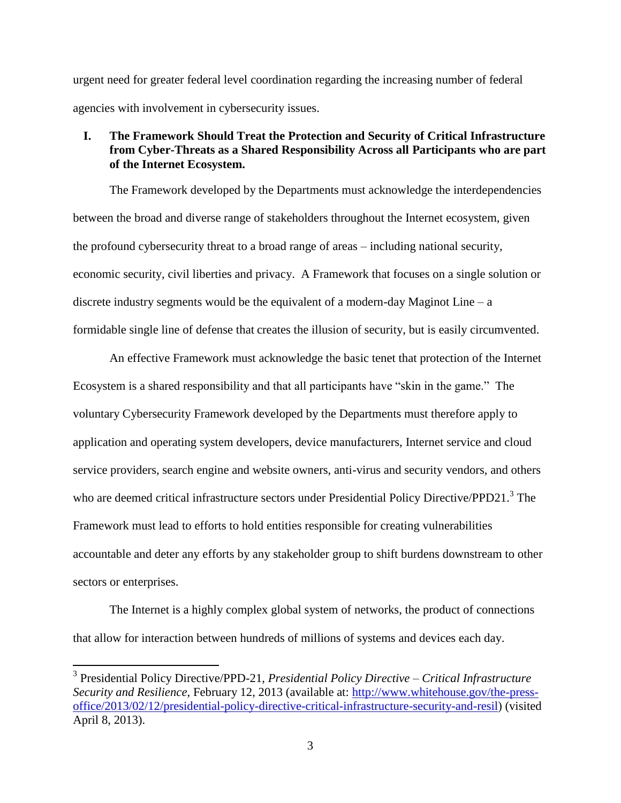urgent need for greater federal level coordination regarding the increasing number of federal agencies with involvement in cybersecurity issues.

# <span id="page-4-0"></span>**I. The Framework Should Treat the Protection and Security of Critical Infrastructure from Cyber-Threats as a Shared Responsibility Across all Participants who are part of the Internet Ecosystem.**

The Framework developed by the Departments must acknowledge the interdependencies between the broad and diverse range of stakeholders throughout the Internet ecosystem, given the profound cybersecurity threat to a broad range of areas – including national security, economic security, civil liberties and privacy. A Framework that focuses on a single solution or discrete industry segments would be the equivalent of a modern-day Maginot Line – a formidable single line of defense that creates the illusion of security, but is easily circumvented.

An effective Framework must acknowledge the basic tenet that protection of the Internet Ecosystem is a shared responsibility and that all participants have "skin in the game." The voluntary Cybersecurity Framework developed by the Departments must therefore apply to application and operating system developers, device manufacturers, Internet service and cloud service providers, search engine and website owners, anti-virus and security vendors, and others who are deemed critical infrastructure sectors under Presidential Policy Directive/PPD21.<sup>3</sup> The Framework must lead to efforts to hold entities responsible for creating vulnerabilities accountable and deter any efforts by any stakeholder group to shift burdens downstream to other sectors or enterprises.

The Internet is a highly complex global system of networks, the product of connections that allow for interaction between hundreds of millions of systems and devices each day.

<sup>3</sup> Presidential Policy Directive/PPD-21, *Presidential Policy Directive – Critical Infrastructure Security and Resilience*, February 12, 2013 (available at: [http://www.whitehouse.gov/the-press](http://www.whitehouse.gov/the-press-office/2013/02/12/presidential-policy-directive-critical-infrastructure-security-and-resil)[office/2013/02/12/presidential-policy-directive-critical-infrastructure-security-and-resil\)](http://www.whitehouse.gov/the-press-office/2013/02/12/presidential-policy-directive-critical-infrastructure-security-and-resil) (visited April 8, 2013).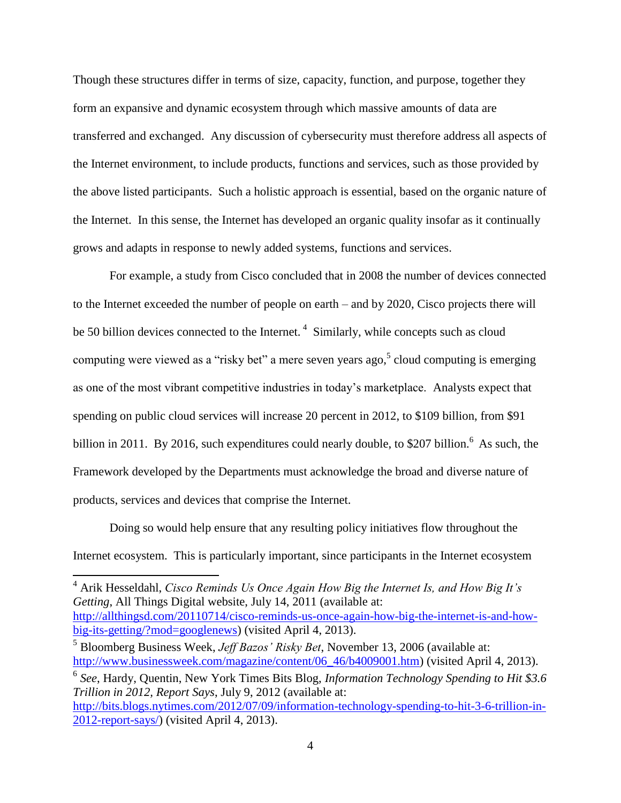Though these structures differ in terms of size, capacity, function, and purpose, together they form an expansive and dynamic ecosystem through which massive amounts of data are transferred and exchanged. Any discussion of cybersecurity must therefore address all aspects of the Internet environment, to include products, functions and services, such as those provided by the above listed participants. Such a holistic approach is essential, based on the organic nature of the Internet. In this sense, the Internet has developed an organic quality insofar as it continually grows and adapts in response to newly added systems, functions and services.

For example, a study from Cisco concluded that in 2008 the number of devices connected to the Internet exceeded the number of people on earth – and by 2020, Cisco projects there will be 50 billion devices connected to the Internet.<sup>4</sup> Similarly, while concepts such as cloud computing were viewed as a "risky bet" a mere seven years ago,  $5$  cloud computing is emerging as one of the most vibrant competitive industries in today's marketplace. Analysts expect that spending on public cloud services will increase 20 percent in 2012, to \$109 billion, from \$91 billion in 2011. By 2016, such expenditures could nearly double, to \$207 billion.<sup>6</sup> As such, the Framework developed by the Departments must acknowledge the broad and diverse nature of products, services and devices that comprise the Internet.

Doing so would help ensure that any resulting policy initiatives flow throughout the Internet ecosystem. This is particularly important, since participants in the Internet ecosystem

<sup>4</sup> Arik Hesseldahl, *Cisco Reminds Us Once Again How Big the Internet Is, and How Big It's Getting*, All Things Digital website, July 14, 2011 (available at: [http://allthingsd.com/20110714/cisco-reminds-us-once-again-how-big-the-internet-is-and-how](http://allthingsd.com/20110714/cisco-reminds-us-once-again-how-big-the-internet-is-and-how-big-its-getting/?mod=googlenews)[big-its-getting/?mod=googlenews\)](http://allthingsd.com/20110714/cisco-reminds-us-once-again-how-big-the-internet-is-and-how-big-its-getting/?mod=googlenews) (visited April 4, 2013).

<sup>5</sup> Bloomberg Business Week, *Jeff Bazos' Risky Bet*, November 13, 2006 (available at: [http://www.businessweek.com/magazine/content/06\\_46/b4009001.htm\)](http://www.businessweek.com/magazine/content/06_46/b4009001.htm) (visited April 4, 2013).

<sup>6</sup> *See*, Hardy, Quentin, New York Times Bits Blog, *Information Technology Spending to Hit \$3.6 Trillion in 2012, Report Says*, July 9, 2012 (available at: [http://bits.blogs.nytimes.com/2012/07/09/information-technology-spending-to-hit-3-6-trillion-in-](http://bits.blogs.nytimes.com/2012/07/09/information-technology-spending-to-hit-3-6-trillion-in-2012-report-says/)

[<sup>2012-</sup>report-says/\)](http://bits.blogs.nytimes.com/2012/07/09/information-technology-spending-to-hit-3-6-trillion-in-2012-report-says/) (visited April 4, 2013).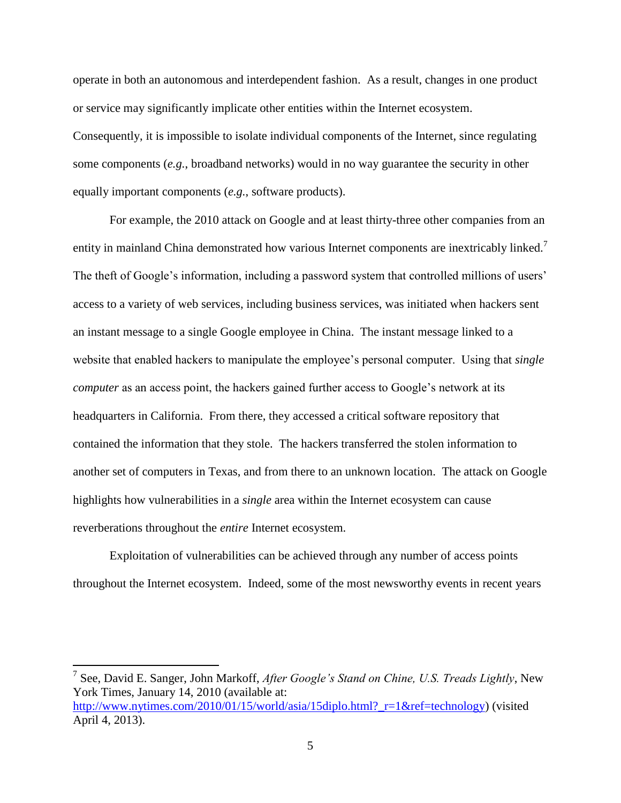operate in both an autonomous and interdependent fashion. As a result, changes in one product or service may significantly implicate other entities within the Internet ecosystem. Consequently, it is impossible to isolate individual components of the Internet, since regulating some components (*e.g.*, broadband networks) would in no way guarantee the security in other equally important components (*e.g.*, software products).

For example, the 2010 attack on Google and at least thirty-three other companies from an entity in mainland China demonstrated how various Internet components are inextricably linked.<sup>7</sup> The theft of Google's information, including a password system that controlled millions of users' access to a variety of web services, including business services, was initiated when hackers sent an instant message to a single Google employee in China. The instant message linked to a website that enabled hackers to manipulate the employee's personal computer. Using that *single computer* as an access point, the hackers gained further access to Google's network at its headquarters in California. From there, they accessed a critical software repository that contained the information that they stole. The hackers transferred the stolen information to another set of computers in Texas, and from there to an unknown location. The attack on Google highlights how vulnerabilities in a *single* area within the Internet ecosystem can cause reverberations throughout the *entire* Internet ecosystem.

Exploitation of vulnerabilities can be achieved through any number of access points throughout the Internet ecosystem. Indeed, some of the most newsworthy events in recent years

<sup>7</sup> See, David E. Sanger, John Markoff, *After Google's Stand on Chine, U.S. Treads Lightly*, New York Times, January 14, 2010 (available at: [http://www.nytimes.com/2010/01/15/world/asia/15diplo.html?\\_r=1&ref=technology\)](http://www.nytimes.com/2010/01/15/world/asia/15diplo.html?_r=1&ref=technology) (visited April 4, 2013).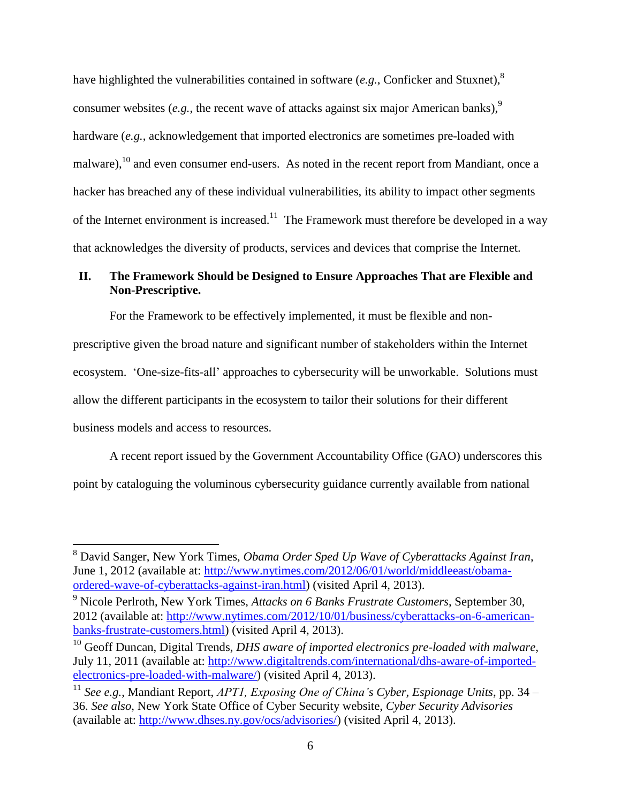have highlighted the vulnerabilities contained in software (*e.g.*, Conficker and Stuxnet),<sup>8</sup> consumer websites (*e.g.*, the recent wave of attacks against six major American banks),<sup>9</sup> hardware (*e.g.*, acknowledgement that imported electronics are sometimes pre-loaded with malware),  $^{10}$  and even consumer end-users. As noted in the recent report from Mandiant, once a hacker has breached any of these individual vulnerabilities, its ability to impact other segments of the Internet environment is increased.<sup>11</sup> The Framework must therefore be developed in a way that acknowledges the diversity of products, services and devices that comprise the Internet.

# <span id="page-7-0"></span>**II. The Framework Should be Designed to Ensure Approaches That are Flexible and Non-Prescriptive.**

For the Framework to be effectively implemented, it must be flexible and non-

prescriptive given the broad nature and significant number of stakeholders within the Internet ecosystem. 'One-size-fits-all' approaches to cybersecurity will be unworkable. Solutions must allow the different participants in the ecosystem to tailor their solutions for their different business models and access to resources.

A recent report issued by the Government Accountability Office (GAO) underscores this point by cataloguing the voluminous cybersecurity guidance currently available from national

<sup>8</sup> David Sanger, New York Times, *Obama Order Sped Up Wave of Cyberattacks Against Iran*, June 1, 2012 (available at: [http://www.nytimes.com/2012/06/01/world/middleeast/obama](http://www.nytimes.com/2012/06/01/world/middleeast/obama-ordered-wave-of-cyberattacks-against-iran.html)[ordered-wave-of-cyberattacks-against-iran.html\)](http://www.nytimes.com/2012/06/01/world/middleeast/obama-ordered-wave-of-cyberattacks-against-iran.html) (visited April 4, 2013).

<sup>9</sup> Nicole Perlroth, New York Times, *Attacks on 6 Banks Frustrate Customers*, September 30, 2012 (available at: [http://www.nytimes.com/2012/10/01/business/cyberattacks-on-6-american](http://www.nytimes.com/2012/10/01/business/cyberattacks-on-6-american-banks-frustrate-customers.html)[banks-frustrate-customers.html\)](http://www.nytimes.com/2012/10/01/business/cyberattacks-on-6-american-banks-frustrate-customers.html) (visited April 4, 2013).

<sup>10</sup> Geoff Duncan, Digital Trends, *DHS aware of imported electronics pre-loaded with malware*, July 11, 2011 (available at: [http://www.digitaltrends.com/international/dhs-aware-of-imported](http://www.digitaltrends.com/international/dhs-aware-of-imported-electronics-pre-loaded-with-malware/)[electronics-pre-loaded-with-malware/\)](http://www.digitaltrends.com/international/dhs-aware-of-imported-electronics-pre-loaded-with-malware/) (visited April 4, 2013).

<sup>11</sup> *See e.g.*, Mandiant Report, *APT1, Exposing One of China's Cyber, Espionage Units*, pp. 34 – 36. *See also*, New York State Office of Cyber Security website, *Cyber Security Advisories* (available at: [http://www.dhses.ny.gov/ocs/advisories/\)](http://www.dhses.ny.gov/ocs/advisories/) (visited April 4, 2013).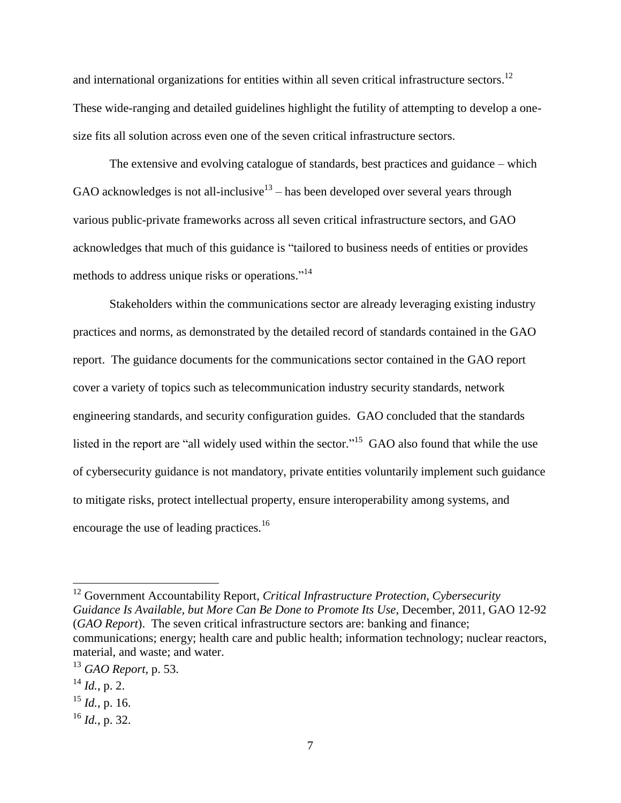and international organizations for entities within all seven critical infrastructure sectors.<sup>12</sup> These wide-ranging and detailed guidelines highlight the futility of attempting to develop a onesize fits all solution across even one of the seven critical infrastructure sectors.

The extensive and evolving catalogue of standards, best practices and guidance – which GAO acknowledges is not all-inclusive<sup>13</sup> – has been developed over several years through various public-private frameworks across all seven critical infrastructure sectors, and GAO acknowledges that much of this guidance is "tailored to business needs of entities or provides methods to address unique risks or operations."<sup>14</sup>

Stakeholders within the communications sector are already leveraging existing industry practices and norms, as demonstrated by the detailed record of standards contained in the GAO report. The guidance documents for the communications sector contained in the GAO report cover a variety of topics such as telecommunication industry security standards, network engineering standards, and security configuration guides. GAO concluded that the standards listed in the report are "all widely used within the sector."<sup>15</sup> GAO also found that while the use of cybersecurity guidance is not mandatory, private entities voluntarily implement such guidance to mitigate risks, protect intellectual property, ensure interoperability among systems, and encourage the use of leading practices.<sup>16</sup>

<sup>12</sup> Government Accountability Report, *Critical Infrastructure Protection, Cybersecurity Guidance Is Available, but More Can Be Done to Promote Its Use*, December, 2011, GAO 12-92 (*GAO Report*). The seven critical infrastructure sectors are: banking and finance; communications; energy; health care and public health; information technology; nuclear reactors, material, and waste; and water.

<sup>13</sup> *GAO Report*, p. 53.

 $^{14}$  *Id.*, p. 2.

<sup>15</sup> *Id.*, p. 16.

<sup>16</sup> *Id.*, p. 32.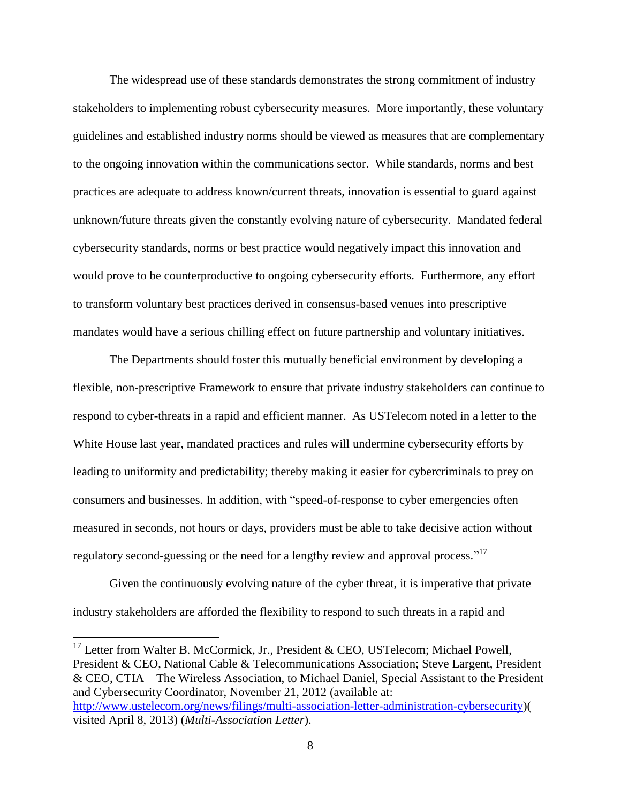The widespread use of these standards demonstrates the strong commitment of industry stakeholders to implementing robust cybersecurity measures. More importantly, these voluntary guidelines and established industry norms should be viewed as measures that are complementary to the ongoing innovation within the communications sector. While standards, norms and best practices are adequate to address known/current threats, innovation is essential to guard against unknown/future threats given the constantly evolving nature of cybersecurity. Mandated federal cybersecurity standards, norms or best practice would negatively impact this innovation and would prove to be counterproductive to ongoing cybersecurity efforts. Furthermore, any effort to transform voluntary best practices derived in consensus-based venues into prescriptive mandates would have a serious chilling effect on future partnership and voluntary initiatives.

The Departments should foster this mutually beneficial environment by developing a flexible, non-prescriptive Framework to ensure that private industry stakeholders can continue to respond to cyber-threats in a rapid and efficient manner. As USTelecom noted in a letter to the White House last year, mandated practices and rules will undermine cybersecurity efforts by leading to uniformity and predictability; thereby making it easier for cybercriminals to prey on consumers and businesses. In addition, with "speed-of-response to cyber emergencies often measured in seconds, not hours or days, providers must be able to take decisive action without regulatory second-guessing or the need for a lengthy review and approval process."<sup>17</sup>

Given the continuously evolving nature of the cyber threat, it is imperative that private industry stakeholders are afforded the flexibility to respond to such threats in a rapid and

 $17$  Letter from Walter B. McCormick, Jr., President & CEO, USTelecom; Michael Powell, President & CEO, National Cable & Telecommunications Association; Steve Largent, President & CEO, CTIA – The Wireless Association, to Michael Daniel, Special Assistant to the President and Cybersecurity Coordinator, November 21, 2012 (available at: [http://www.ustelecom.org/news/filings/multi-association-letter-administration-cybersecurity\)](http://www.ustelecom.org/news/filings/multi-association-letter-administration-cybersecurity)( visited April 8, 2013) (*Multi-Association Letter*).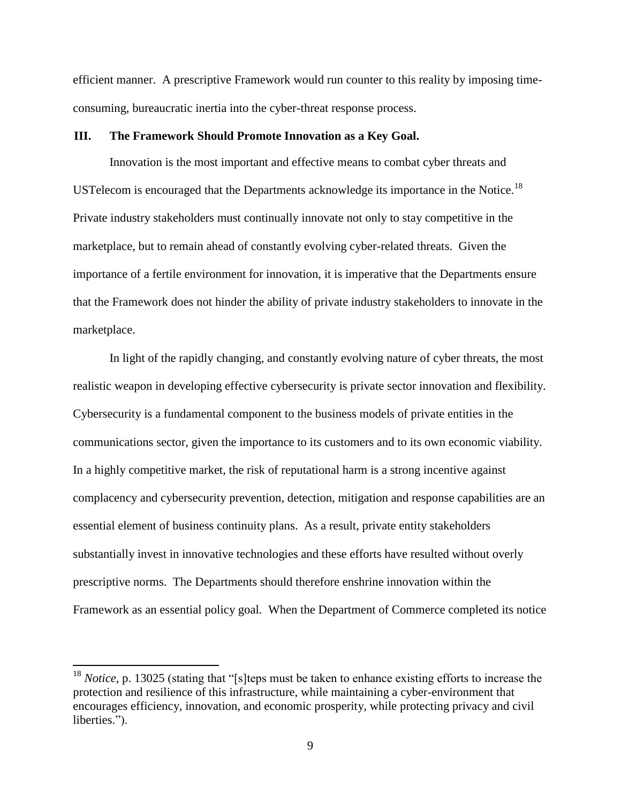efficient manner. A prescriptive Framework would run counter to this reality by imposing timeconsuming, bureaucratic inertia into the cyber-threat response process.

#### <span id="page-10-0"></span>**III. The Framework Should Promote Innovation as a Key Goal.**

Innovation is the most important and effective means to combat cyber threats and USTelecom is encouraged that the Departments acknowledge its importance in the Notice.<sup>18</sup> Private industry stakeholders must continually innovate not only to stay competitive in the marketplace, but to remain ahead of constantly evolving cyber-related threats. Given the importance of a fertile environment for innovation, it is imperative that the Departments ensure that the Framework does not hinder the ability of private industry stakeholders to innovate in the marketplace.

In light of the rapidly changing, and constantly evolving nature of cyber threats, the most realistic weapon in developing effective cybersecurity is private sector innovation and flexibility. Cybersecurity is a fundamental component to the business models of private entities in the communications sector, given the importance to its customers and to its own economic viability. In a highly competitive market, the risk of reputational harm is a strong incentive against complacency and cybersecurity prevention, detection, mitigation and response capabilities are an essential element of business continuity plans. As a result, private entity stakeholders substantially invest in innovative technologies and these efforts have resulted without overly prescriptive norms. The Departments should therefore enshrine innovation within the Framework as an essential policy goal. When the Department of Commerce completed its notice

<sup>&</sup>lt;sup>18</sup> *Notice*, p. 13025 (stating that "[s]teps must be taken to enhance existing efforts to increase the protection and resilience of this infrastructure, while maintaining a cyber-environment that encourages efficiency, innovation, and economic prosperity, while protecting privacy and civil liberties.").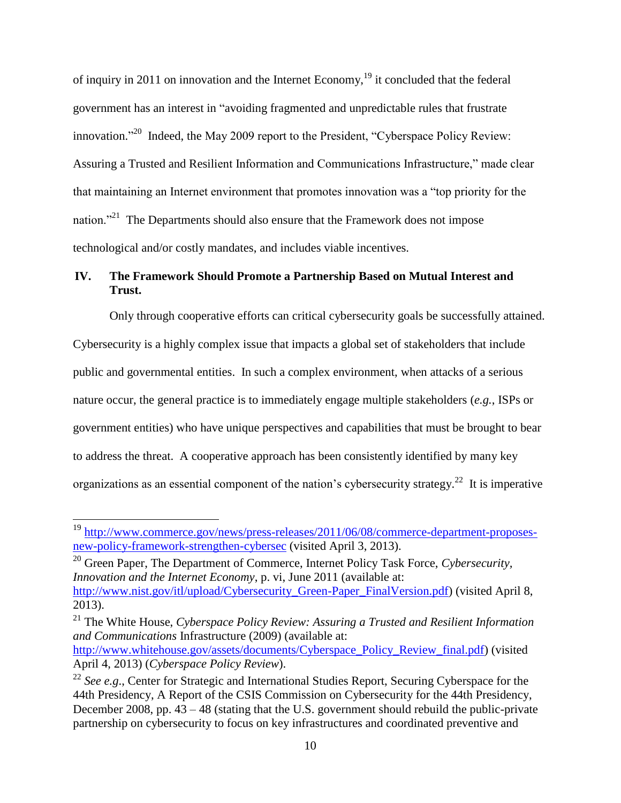of inquiry in 2011 on innovation and the Internet Economy,  $19$  it concluded that the federal government has an interest in "avoiding fragmented and unpredictable rules that frustrate innovation.<sup>220</sup> Indeed, the May 2009 report to the President, "Cyberspace Policy Review: Assuring a Trusted and Resilient Information and Communications Infrastructure," made clear that maintaining an Internet environment that promotes innovation was a "top priority for the nation."<sup>21</sup> The Departments should also ensure that the Framework does not impose technological and/or costly mandates, and includes viable incentives.

# <span id="page-11-0"></span>**IV. The Framework Should Promote a Partnership Based on Mutual Interest and Trust.**

Only through cooperative efforts can critical cybersecurity goals be successfully attained. Cybersecurity is a highly complex issue that impacts a global set of stakeholders that include public and governmental entities. In such a complex environment, when attacks of a serious nature occur, the general practice is to immediately engage multiple stakeholders (*e.g.*, ISPs or government entities) who have unique perspectives and capabilities that must be brought to bear to address the threat. A cooperative approach has been consistently identified by many key organizations as an essential component of the nation's cybersecurity strategy.<sup>22</sup> It is imperative

 $\overline{a}$ 

<sup>20</sup> Green Paper, The Department of Commerce, Internet Policy Task Force, *Cybersecurity, Innovation and the Internet Economy*, p. vi, June 2011 (available at: [http://www.nist.gov/itl/upload/Cybersecurity\\_Green-Paper\\_FinalVersion.pdf\)](http://www.nist.gov/itl/upload/Cybersecurity_Green-Paper_FinalVersion.pdf) (visited April 8, 2013).

<sup>21</sup> The White House, *Cyberspace Policy Review: Assuring a Trusted and Resilient Information and Communications* Infrastructure (2009) (available at:

<sup>&</sup>lt;sup>19</sup> [http://www.commerce.gov/news/press-releases/2011/06/08/commerce-department-proposes](http://www.commerce.gov/news/press-releases/2011/06/08/commerce-department-proposes-new-policy-framework-strengthen-cybersec)[new-policy-framework-strengthen-cybersec](http://www.commerce.gov/news/press-releases/2011/06/08/commerce-department-proposes-new-policy-framework-strengthen-cybersec) (visited April 3, 2013).

[http://www.whitehouse.gov/assets/documents/Cyberspace\\_Policy\\_Review\\_final.pdf\)](http://www.whitehouse.gov/assets/documents/Cyberspace_Policy_Review_final.pdf) (visited April 4, 2013) (*Cyberspace Policy Review*).

<sup>&</sup>lt;sup>22</sup> *See e.g.*, Center for Strategic and International Studies Report, Securing Cyberspace for the 44th Presidency, A Report of the CSIS Commission on Cybersecurity for the 44th Presidency, December 2008, pp. 43 – 48 (stating that the U.S. government should rebuild the public-private partnership on cybersecurity to focus on key infrastructures and coordinated preventive and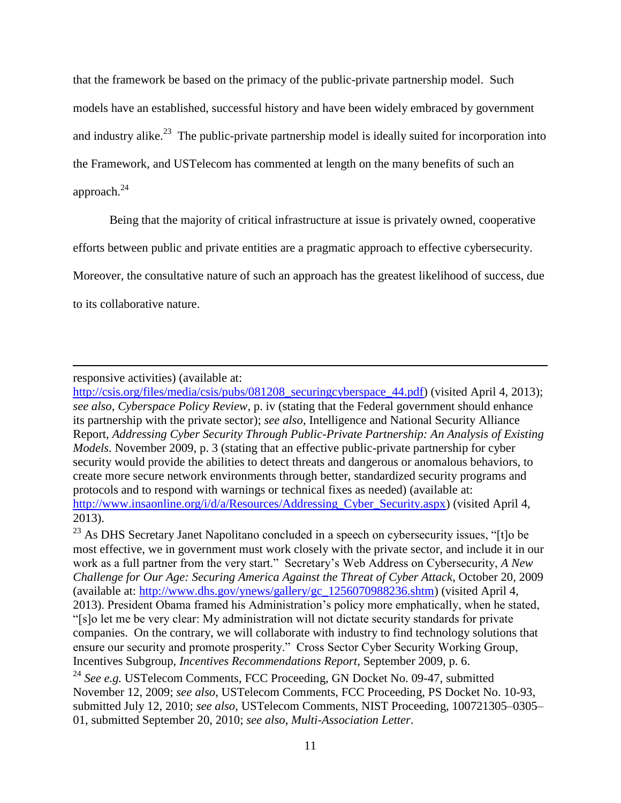that the framework be based on the primacy of the public-private partnership model. Such models have an established, successful history and have been widely embraced by government and industry alike.<sup>23</sup> The public-private partnership model is ideally suited for incorporation into the Framework, and USTelecom has commented at length on the many benefits of such an approach. 24

Being that the majority of critical infrastructure at issue is privately owned, cooperative

efforts between public and private entities are a pragmatic approach to effective cybersecurity.

Moreover, the consultative nature of such an approach has the greatest likelihood of success, due

to its collaborative nature.

 $\overline{a}$ 

responsive activities) (available at:

[http://csis.org/files/media/csis/pubs/081208\\_securingcyberspace\\_44.pdf\)](http://csis.org/files/media/csis/pubs/081208_securingcyberspace_44.pdf) (visited April 4, 2013); *see also*, *Cyberspace Policy Review*, p. iv (stating that the Federal government should enhance its partnership with the private sector); *see also*, Intelligence and National Security Alliance Report, *Addressing Cyber Security Through Public-Private Partnership: An Analysis of Existing Models*. November 2009, p. 3 (stating that an effective public-private partnership for cyber security would provide the abilities to detect threats and dangerous or anomalous behaviors, to create more secure network environments through better, standardized security programs and protocols and to respond with warnings or technical fixes as needed) (available at: http://www.insaonline.org/i/d/a/Resources/Addressing Cyber Security.aspx) (visited April 4, 2013).

 $^{23}$  As DHS Secretary Janet Napolitano concluded in a speech on cybersecurity issues, "[t]o be most effective, we in government must work closely with the private sector, and include it in our work as a full partner from the very start." Secretary's Web Address on Cybersecurity, *A New Challenge for Our Age: Securing America Against the Threat of Cyber Attack*, October 20, 2009 (available at: [http://www.dhs.gov/ynews/gallery/gc\\_1256070988236.shtm\)](http://www.dhs.gov/ynews/gallery/gc_1256070988236.shtm) (visited April 4, 2013). President Obama framed his Administration's policy more emphatically, when he stated, "[s]o let me be very clear: My administration will not dictate security standards for private companies. On the contrary, we will collaborate with industry to find technology solutions that ensure our security and promote prosperity." Cross Sector Cyber Security Working Group, Incentives Subgroup, *Incentives Recommendations Report*, September 2009, p. 6.

<sup>24</sup> See e.g. USTelecom Comments, FCC Proceeding, GN Docket No. 09-47, submitted November 12, 2009; *see also*, USTelecom Comments, FCC Proceeding, PS Docket No. 10-93, submitted July 12, 2010; *see also*, USTelecom Comments, NIST Proceeding, 100721305–0305– 01, submitted September 20, 2010; *see also*, *Multi-Association Letter*.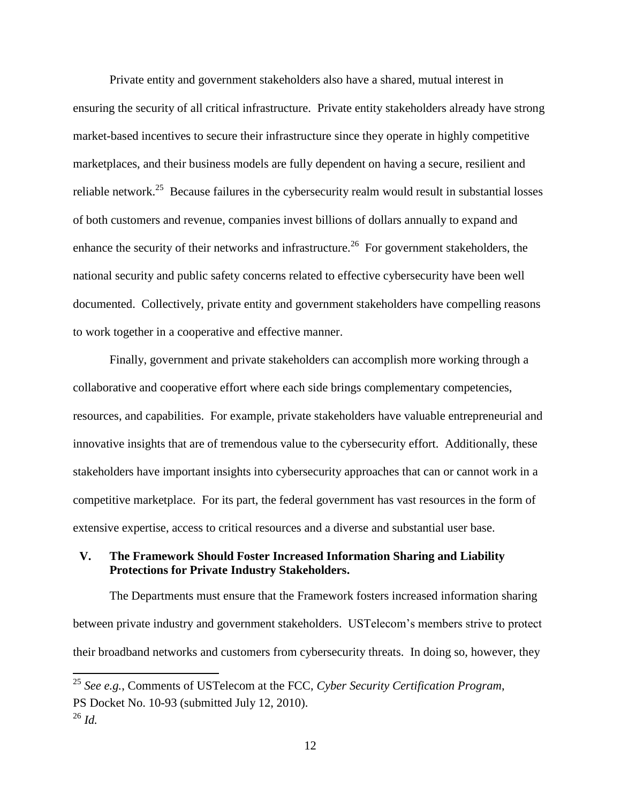Private entity and government stakeholders also have a shared, mutual interest in ensuring the security of all critical infrastructure. Private entity stakeholders already have strong market-based incentives to secure their infrastructure since they operate in highly competitive marketplaces, and their business models are fully dependent on having a secure, resilient and reliable network.<sup>25</sup> Because failures in the cybersecurity realm would result in substantial losses of both customers and revenue, companies invest billions of dollars annually to expand and enhance the security of their networks and infrastructure.<sup>26</sup> For government stakeholders, the national security and public safety concerns related to effective cybersecurity have been well documented. Collectively, private entity and government stakeholders have compelling reasons to work together in a cooperative and effective manner.

Finally, government and private stakeholders can accomplish more working through a collaborative and cooperative effort where each side brings complementary competencies, resources, and capabilities. For example, private stakeholders have valuable entrepreneurial and innovative insights that are of tremendous value to the cybersecurity effort. Additionally, these stakeholders have important insights into cybersecurity approaches that can or cannot work in a competitive marketplace. For its part, the federal government has vast resources in the form of extensive expertise, access to critical resources and a diverse and substantial user base.

### <span id="page-13-0"></span>**V. The Framework Should Foster Increased Information Sharing and Liability Protections for Private Industry Stakeholders.**

The Departments must ensure that the Framework fosters increased information sharing between private industry and government stakeholders. USTelecom's members strive to protect their broadband networks and customers from cybersecurity threats. In doing so, however, they

<sup>25</sup> *See e.g.*, Comments of USTelecom at the FCC, *Cyber Security Certification Program*, PS Docket No. 10-93 (submitted July 12, 2010).  $^{26}$  *Id.* 

<sup>12</sup>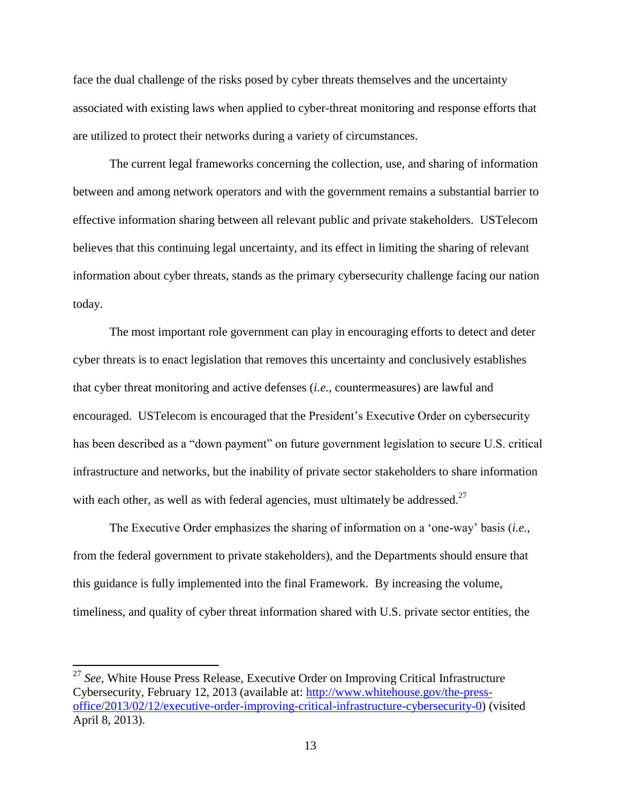face the dual challenge of the risks posed by cyber threats themselves and the uncertainty associated with existing laws when applied to cyber-threat monitoring and response efforts that are utilized to protect their networks during a variety of circumstances.

The current legal frameworks concerning the collection, use, and sharing of information between and among network operators and with the government remains a substantial barrier to effective information sharing between all relevant public and private stakeholders. USTelecom believes that this continuing legal uncertainty, and its effect in limiting the sharing of relevant information about cyber threats, stands as the primary cybersecurity challenge facing our nation today.

The most important role government can play in encouraging efforts to detect and deter cyber threats is to enact legislation that removes this uncertainty and conclusively establishes that cyber threat monitoring and active defenses (*i.e.*, countermeasures) are lawful and encouraged. USTelecom is encouraged that the President's Executive Order on cybersecurity has been described as a "down payment" on future government legislation to secure U.S. critical infrastructure and networks, but the inability of private sector stakeholders to share information with each other, as well as with federal agencies, must ultimately be addressed.<sup>27</sup>

The Executive Order emphasizes the sharing of information on a 'one-way' basis (*i.e.*, from the federal government to private stakeholders), and the Departments should ensure that this guidance is fully implemented into the final Framework. By increasing the volume, timeliness, and quality of cyber threat information shared with U.S. private sector entities, the

<sup>27</sup> *See*, White House Press Release, Executive Order on Improving Critical Infrastructure Cybersecurity, February 12, 2013 (available at: [http://www.whitehouse.gov/the-press](http://www.whitehouse.gov/the-press-office/2013/02/12/executive-order-improving-critical-infrastructure-cybersecurity-0)[office/2013/02/12/executive-order-improving-critical-infrastructure-cybersecurity-0\)](http://www.whitehouse.gov/the-press-office/2013/02/12/executive-order-improving-critical-infrastructure-cybersecurity-0) (visited April 8, 2013).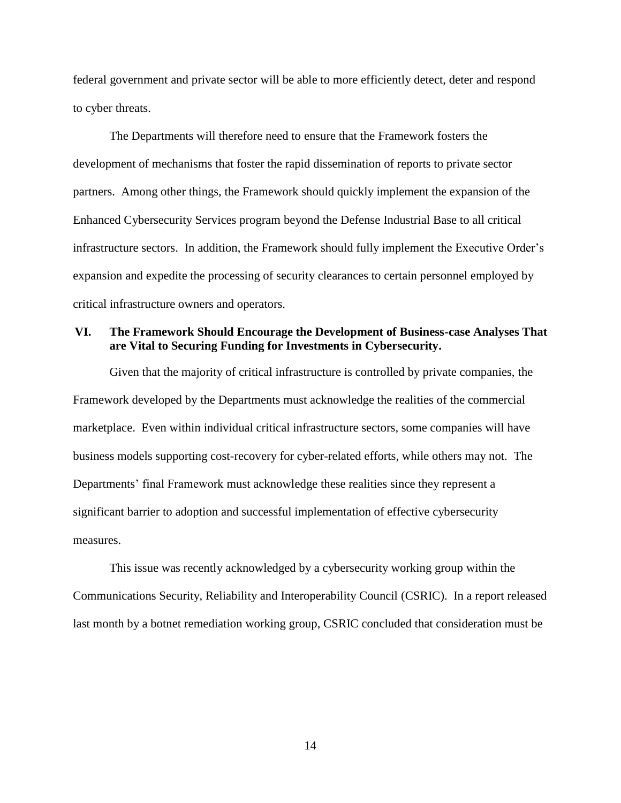federal government and private sector will be able to more efficiently detect, deter and respond to cyber threats.

The Departments will therefore need to ensure that the Framework fosters the development of mechanisms that foster the rapid dissemination of reports to private sector partners. Among other things, the Framework should quickly implement the expansion of the Enhanced Cybersecurity Services program beyond the Defense Industrial Base to all critical infrastructure sectors. In addition, the Framework should fully implement the Executive Order's expansion and expedite the processing of security clearances to certain personnel employed by critical infrastructure owners and operators.

### <span id="page-15-0"></span>**VI. The Framework Should Encourage the Development of Business-case Analyses That are Vital to Securing Funding for Investments in Cybersecurity.**

Given that the majority of critical infrastructure is controlled by private companies, the Framework developed by the Departments must acknowledge the realities of the commercial marketplace. Even within individual critical infrastructure sectors, some companies will have business models supporting cost-recovery for cyber-related efforts, while others may not. The Departments' final Framework must acknowledge these realities since they represent a significant barrier to adoption and successful implementation of effective cybersecurity measures.

This issue was recently acknowledged by a cybersecurity working group within the Communications Security, Reliability and Interoperability Council (CSRIC). In a report released last month by a botnet remediation working group, CSRIC concluded that consideration must be

14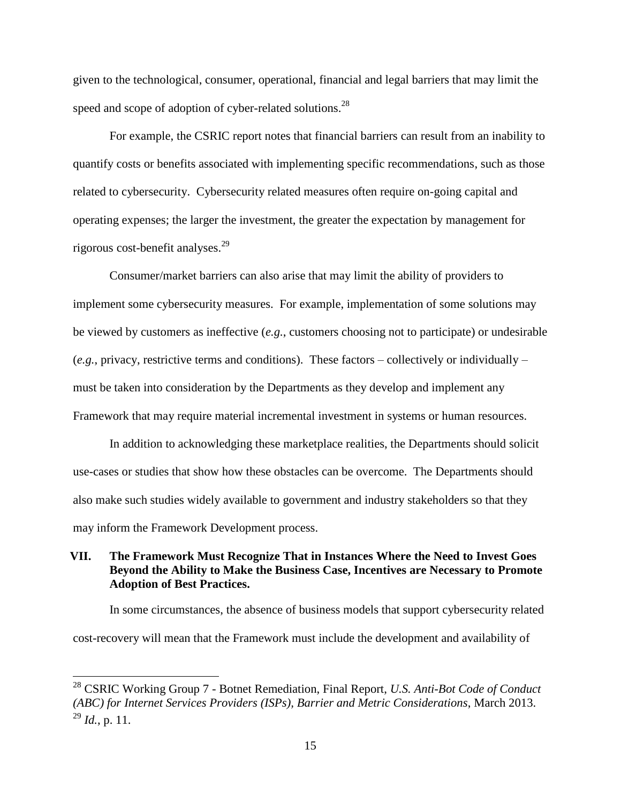given to the technological, consumer, operational, financial and legal barriers that may limit the speed and scope of adoption of cyber-related solutions. $^{28}$ 

For example, the CSRIC report notes that financial barriers can result from an inability to quantify costs or benefits associated with implementing specific recommendations, such as those related to cybersecurity. Cybersecurity related measures often require on-going capital and operating expenses; the larger the investment, the greater the expectation by management for rigorous cost-benefit analyses. 29

Consumer/market barriers can also arise that may limit the ability of providers to implement some cybersecurity measures. For example, implementation of some solutions may be viewed by customers as ineffective (*e.g.*, customers choosing not to participate) or undesirable (*e.g.*, privacy, restrictive terms and conditions). These factors – collectively or individually – must be taken into consideration by the Departments as they develop and implement any Framework that may require material incremental investment in systems or human resources.

In addition to acknowledging these marketplace realities, the Departments should solicit use-cases or studies that show how these obstacles can be overcome. The Departments should also make such studies widely available to government and industry stakeholders so that they may inform the Framework Development process.

### <span id="page-16-0"></span>**VII. The Framework Must Recognize That in Instances Where the Need to Invest Goes Beyond the Ability to Make the Business Case, Incentives are Necessary to Promote Adoption of Best Practices.**

In some circumstances, the absence of business models that support cybersecurity related cost-recovery will mean that the Framework must include the development and availability of

<sup>28</sup> CSRIC Working Group 7 - Botnet Remediation, Final Report, *U.S. Anti-Bot Code of Conduct (ABC) for Internet Services Providers (ISPs), Barrier and Metric Considerations*, March 2013.  $^{29}$  *Id.*, p. 11.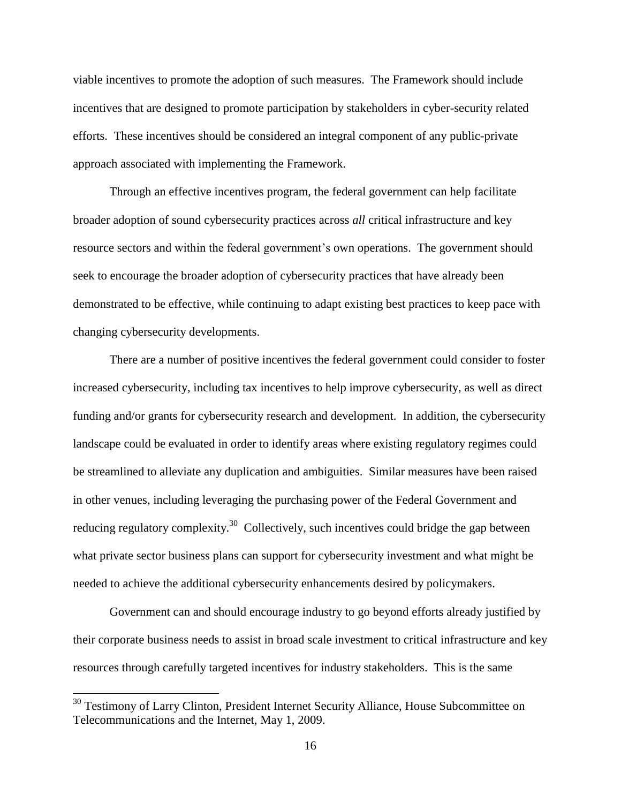viable incentives to promote the adoption of such measures. The Framework should include incentives that are designed to promote participation by stakeholders in cyber-security related efforts. These incentives should be considered an integral component of any public-private approach associated with implementing the Framework.

Through an effective incentives program, the federal government can help facilitate broader adoption of sound cybersecurity practices across *all* critical infrastructure and key resource sectors and within the federal government's own operations. The government should seek to encourage the broader adoption of cybersecurity practices that have already been demonstrated to be effective, while continuing to adapt existing best practices to keep pace with changing cybersecurity developments.

There are a number of positive incentives the federal government could consider to foster increased cybersecurity, including tax incentives to help improve cybersecurity, as well as direct funding and/or grants for cybersecurity research and development. In addition, the cybersecurity landscape could be evaluated in order to identify areas where existing regulatory regimes could be streamlined to alleviate any duplication and ambiguities. Similar measures have been raised in other venues, including leveraging the purchasing power of the Federal Government and reducing regulatory complexity.<sup>30</sup> Collectively, such incentives could bridge the gap between what private sector business plans can support for cybersecurity investment and what might be needed to achieve the additional cybersecurity enhancements desired by policymakers.

Government can and should encourage industry to go beyond efforts already justified by their corporate business needs to assist in broad scale investment to critical infrastructure and key resources through carefully targeted incentives for industry stakeholders. This is the same

<sup>&</sup>lt;sup>30</sup> Testimony of Larry Clinton, President Internet Security Alliance, House Subcommittee on Telecommunications and the Internet, May 1, 2009.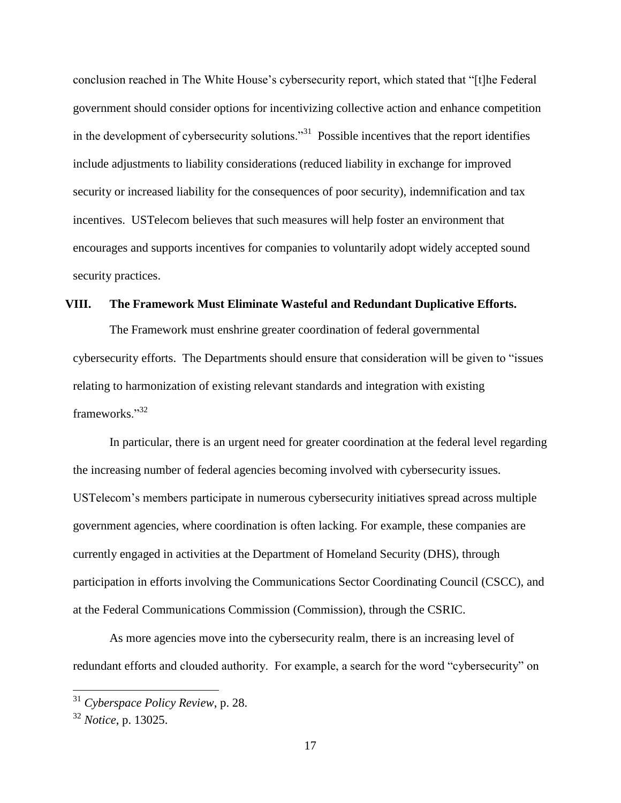conclusion reached in The White House's cybersecurity report, which stated that "[t]he Federal government should consider options for incentivizing collective action and enhance competition in the development of cybersecurity solutions.<sup>31</sup> Possible incentives that the report identifies include adjustments to liability considerations (reduced liability in exchange for improved security or increased liability for the consequences of poor security), indemnification and tax incentives. USTelecom believes that such measures will help foster an environment that encourages and supports incentives for companies to voluntarily adopt widely accepted sound security practices.

### <span id="page-18-0"></span>**VIII. The Framework Must Eliminate Wasteful and Redundant Duplicative Efforts.**

The Framework must enshrine greater coordination of federal governmental cybersecurity efforts. The Departments should ensure that consideration will be given to "issues relating to harmonization of existing relevant standards and integration with existing frameworks."<sup>32</sup>

In particular, there is an urgent need for greater coordination at the federal level regarding the increasing number of federal agencies becoming involved with cybersecurity issues. USTelecom's members participate in numerous cybersecurity initiatives spread across multiple government agencies, where coordination is often lacking. For example, these companies are currently engaged in activities at the Department of Homeland Security (DHS), through participation in efforts involving the Communications Sector Coordinating Council (CSCC), and at the Federal Communications Commission (Commission), through the CSRIC.

As more agencies move into the cybersecurity realm, there is an increasing level of redundant efforts and clouded authority. For example, a search for the word "cybersecurity" on

<sup>31</sup> *Cyberspace Policy Review*, p. 28.

<sup>32</sup> *Notice*, p. 13025.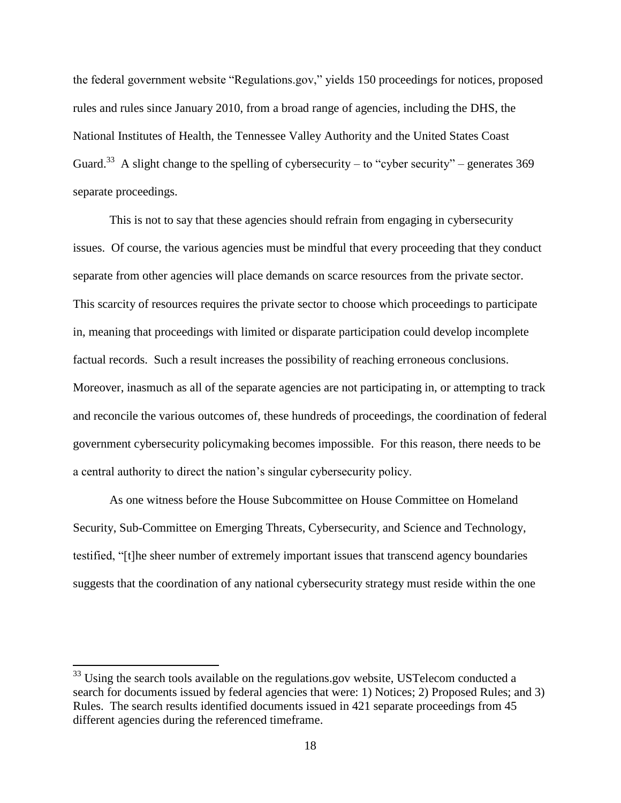the federal government website "Regulations.gov," yields 150 proceedings for notices, proposed rules and rules since January 2010, from a broad range of agencies, including the DHS, the National Institutes of Health, the Tennessee Valley Authority and the United States Coast Guard.<sup>33</sup> A slight change to the spelling of cybersecurity – to "cyber security" – generates 369 separate proceedings.

This is not to say that these agencies should refrain from engaging in cybersecurity issues. Of course, the various agencies must be mindful that every proceeding that they conduct separate from other agencies will place demands on scarce resources from the private sector. This scarcity of resources requires the private sector to choose which proceedings to participate in, meaning that proceedings with limited or disparate participation could develop incomplete factual records. Such a result increases the possibility of reaching erroneous conclusions. Moreover, inasmuch as all of the separate agencies are not participating in, or attempting to track and reconcile the various outcomes of, these hundreds of proceedings, the coordination of federal government cybersecurity policymaking becomes impossible. For this reason, there needs to be a central authority to direct the nation's singular cybersecurity policy.

As one witness before the House Subcommittee on House Committee on Homeland Security, Sub-Committee on Emerging Threats, Cybersecurity, and Science and Technology, testified, "[t]he sheer number of extremely important issues that transcend agency boundaries suggests that the coordination of any national cybersecurity strategy must reside within the one

 $33$  Using the search tools available on the regulations.gov website, USTelecom conducted a search for documents issued by federal agencies that were: 1) Notices; 2) Proposed Rules; and 3) Rules. The search results identified documents issued in 421 separate proceedings from 45 different agencies during the referenced timeframe.